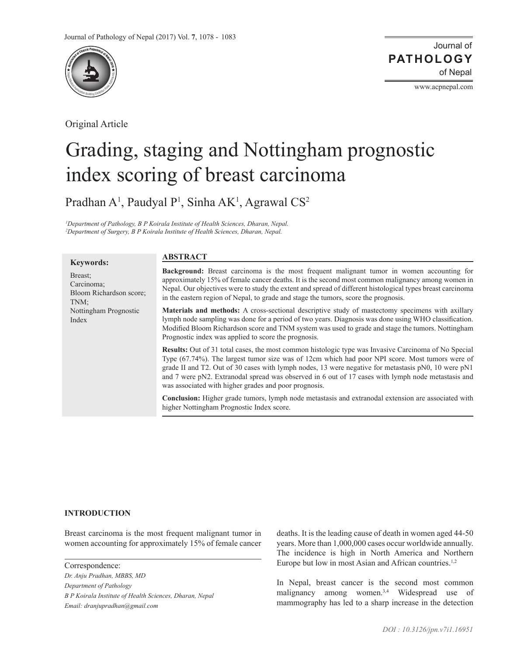

Original Article

Journal of of Nepal **PATHOLOGY**

www.acpnepal.com

# Grading, staging and Nottingham prognostic index scoring of breast carcinoma

Pradhan A<sup>1</sup>, Paudyal P<sup>1</sup>, Sinha AK<sup>1</sup>, Agrawal CS<sup>2</sup>

<sup>1</sup>Department of Pathology, B P Koirala Institute of Health Sciences, Dharan, Nepal. *2 Department of Surgery, B P Koirala Institute of Health Sciences, Dharan, Nepal.*

## **Keywords:**

# **ABSTRACT**

Breast; Carcinoma; Bloom Richardson score; TNM; Nottingham Prognostic Index

**Background:** Breast carcinoma is the most frequent malignant tumor in women accounting for approximately 15% of female cancer deaths. It is the second most common malignancy among women in Nepal. Our objectives were to study the extent and spread of different histological types breast carcinoma in the eastern region of Nepal, to grade and stage the tumors, score the prognosis.

**Materials and methods:** A cross-sectional descriptive study of mastectomy specimens with axillary lymph node sampling was done for a period of two years. Diagnosis was done using WHO classification. Modified Bloom Richardson score and TNM system was used to grade and stage the tumors. Nottingham Prognostic index was applied to score the prognosis.

**Results:** Out of 31 total cases, the most common histologic type was Invasive Carcinoma of No Special Type (67.74%). The largest tumor size was of 12cm which had poor NPI score. Most tumors were of grade II and T2. Out of 30 cases with lymph nodes, 13 were negative for metastasis pN0, 10 were pN1 and 7 were pN2. Extranodal spread was observed in 6 out of 17 cases with lymph node metastasis and was associated with higher grades and poor prognosis.

**Conclusion:** Higher grade tumors, lymph node metastasis and extranodal extension are associated with higher Nottingham Prognostic Index score.

## **INTRODUCTION**

Breast carcinoma is the most frequent malignant tumor in women accounting for approximately 15% of female cancer

Correspondence:

*Dr. Anju Pradhan, MBBS, MD Department of Pathology B P Koirala Institute of Health Sciences, Dharan, Nepal Email: dranjupradhan@gmail.com*

deaths. It is the leading cause of death in women aged 44-50 years. More than 1,000,000 cases occur worldwide annually. The incidence is high in North America and Northern Europe but low in most Asian and African countries.<sup>1,2</sup>

In Nepal, breast cancer is the second most common malignancy among women.<sup>3,4</sup> Widespread use of mammography has led to a sharp increase in the detection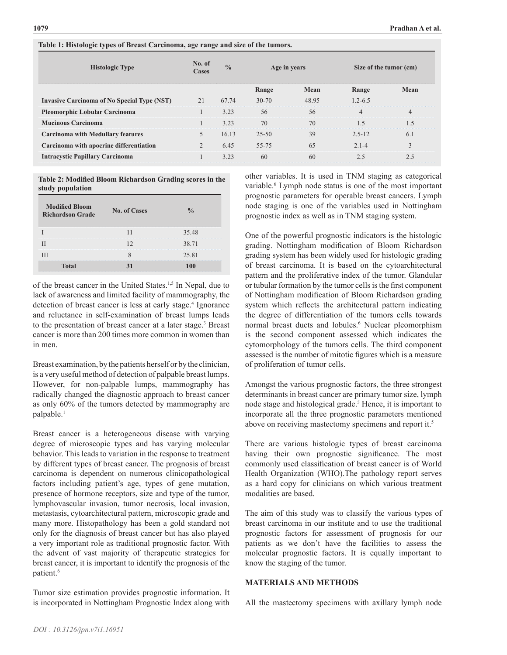| <b>Histologic Type</b>                             | No. of<br>Cases | $\frac{0}{0}$ | Age in years |       | Size of the tumor (cm) |                |
|----------------------------------------------------|-----------------|---------------|--------------|-------|------------------------|----------------|
|                                                    |                 |               | Range        | Mean  | Range                  | Mean           |
| <b>Invasive Carcinoma of No Special Type (NST)</b> | 21              | 67.74         | $30 - 70$    | 48.95 | $1.2 - 6.5$            |                |
| <b>Pleomorphic Lobular Carcinoma</b>               |                 | 3.23          | 56           | 56    | $\overline{4}$         | $\overline{4}$ |
| <b>Mucinous Carcinoma</b>                          |                 | 3.23          | 70           | 70    | 1.5                    | 1.5            |
| <b>Carcinoma with Medullary features</b>           |                 | 16.13         | $25 - 50$    | 39    | $2.5 - 12$             | 6.1            |
| Carcinoma with apocrine differentiation            | $\mathfrak{D}$  | 6.45          | 55-75        | 65    | $2.1 - 4$              | 3              |
| <b>Intracystic Papillary Carcinoma</b>             |                 | 3.23          | 60           | 60    | 2.5                    | 2.5            |

**Table 2: Modified Bloom Richardson Grading scores in the study population**

**Table 1: Histologic types of Breast Carcinoma, age range and size of the tumors.**

| <b>Modified Bloom</b><br><b>Richardson Grade</b> | <b>No. of Cases</b> |       |
|--------------------------------------------------|---------------------|-------|
|                                                  |                     | 35.48 |
|                                                  |                     | 38.71 |
|                                                  |                     | 25.81 |
| <b>Total</b>                                     |                     |       |

of the breast cancer in the United States.<sup>1,5</sup> In Nepal, due to lack of awareness and limited facility of mammography, the detection of breast cancer is less at early stage.<sup>4</sup> Ignorance and reluctance in self-examination of breast lumps leads to the presentation of breast cancer at a later stage.<sup>3</sup> Breast cancer is more than 200 times more common in women than in men.

Breast examination, by the patients herself or by the clinician, is a very useful method of detection of palpable breast lumps. However, for non-palpable lumps, mammography has radically changed the diagnostic approach to breast cancer as only 60% of the tumors detected by mammography are palpable.<sup>1</sup>

Breast cancer is a heterogeneous disease with varying degree of microscopic types and has varying molecular behavior. This leads to variation in the response to treatment by different types of breast cancer. The prognosis of breast carcinoma is dependent on numerous clinicopathological factors including patient's age, types of gene mutation, presence of hormone receptors, size and type of the tumor, lymphovascular invasion, tumor necrosis, local invasion, metastasis, cytoarchitectural pattern, microscopic grade and many more. Histopathology has been a gold standard not only for the diagnosis of breast cancer but has also played a very important role as traditional prognostic factor. With the advent of vast majority of therapeutic strategies for breast cancer, it is important to identify the prognosis of the patient.<sup>6</sup>

Tumor size estimation provides prognostic information. It is incorporated in Nottingham Prognostic Index along with

other variables. It is used in TNM staging as categorical variable.<sup>6</sup> Lymph node status is one of the most important prognostic parameters for operable breast cancers. Lymph node staging is one of the variables used in Nottingham prognostic index as well as in TNM staging system.

One of the powerful prognostic indicators is the histologic grading. Nottingham modification of Bloom Richardson grading system has been widely used for histologic grading of breast carcinoma. It is based on the cytoarchitectural pattern and the proliferative index of the tumor. Glandular or tubular formation by the tumor cells is the first component of Nottingham modification of Bloom Richardson grading system which reflects the architectural pattern indicating the degree of differentiation of the tumors cells towards normal breast ducts and lobules.<sup>6</sup> Nuclear pleomorphism is the second component assessed which indicates the cytomorphology of the tumors cells. The third component assessed is the number of mitotic figures which is a measure of proliferation of tumor cells.

Amongst the various prognostic factors, the three strongest determinants in breast cancer are primary tumor size, lymph node stage and histological grade.<sup>5</sup> Hence, it is important to incorporate all the three prognostic parameters mentioned above on receiving mastectomy specimens and report it.<sup>5</sup>

There are various histologic types of breast carcinoma having their own prognostic significance. The most commonly used classification of breast cancer is of World Health Organization (WHO).The pathology report serves as a hard copy for clinicians on which various treatment modalities are based.

The aim of this study was to classify the various types of breast carcinoma in our institute and to use the traditional prognostic factors for assessment of prognosis for our patients as we don't have the facilities to assess the molecular prognostic factors. It is equally important to know the staging of the tumor.

## **MATERIALS AND METHODS**

All the mastectomy specimens with axillary lymph node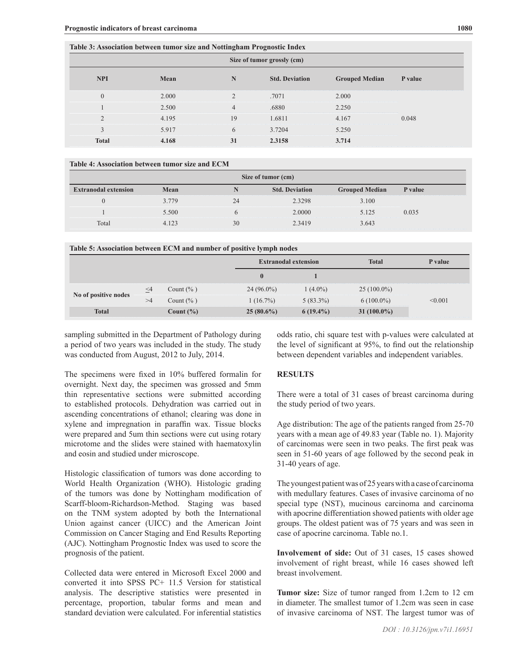|                            | Table 3: Association between tumor size and Nottingham Prognostic Index |                |                       |                       |         |  |  |
|----------------------------|-------------------------------------------------------------------------|----------------|-----------------------|-----------------------|---------|--|--|
| Size of tumor grossly (cm) |                                                                         |                |                       |                       |         |  |  |
| <b>NPI</b>                 | Mean                                                                    | N              | <b>Std. Deviation</b> | <b>Grouped Median</b> | P value |  |  |
| $\overline{0}$             | 2.000                                                                   |                | .7071                 | 2.000                 |         |  |  |
|                            | 2.500                                                                   | $\overline{4}$ | .6880                 | 2.250                 |         |  |  |
| $\overline{2}$             | 4.195                                                                   | 19             | 1.6811                | 4.167                 | 0.048   |  |  |
| 3                          | 5.917                                                                   | 6              | 3.7204                | 5.250                 |         |  |  |
| <b>Total</b>               | 4.168                                                                   | 31             | 2.3158                | 3.714                 |         |  |  |

#### **Table 4: Association between tumor size and ECM**

| Size of tumor (cm)          |         |    |                       |                       |         |  |
|-----------------------------|---------|----|-----------------------|-----------------------|---------|--|
| <b>Extranodal extension</b> | Mean    |    | <b>Std. Deviation</b> | <b>Grouped Median</b> | P value |  |
|                             | 3 7 7 9 |    | 2.3298                | 3.100                 |         |  |
|                             | 5.500   |    | 2.0000                | 5.125                 | 0.035   |  |
| Total                       | 4.123   | 30 | 2.3419                | 3.643                 |         |  |

#### **Table 5: Association between ECM and number of positive lymph nodes**

|                      |          |               | <b>Extranodal extension</b> |             | <b>Total</b>   | P value |
|----------------------|----------|---------------|-----------------------------|-------------|----------------|---------|
|                      |          |               | $\mathbf{0}$                |             |                |         |
| No of positive nodes | $\leq$ 4 | Count $(\% )$ | $24(96.0\%)$                | $1(4.0\%)$  | $25(100.0\%)$  |         |
|                      | >4       | Count $(\% )$ | $1(16.7\%)$                 | $5(83.3\%)$ | $6(100.0\%)$   | < 0.001 |
| <b>Total</b>         |          | Count $(\% )$ | $25(80.6\%)$                | $6(19.4\%)$ | 31 $(100.0\%)$ |         |

sampling submitted in the Department of Pathology during a period of two years was included in the study. The study was conducted from August, 2012 to July, 2014.

The specimens were fixed in 10% buffered formalin for overnight. Next day, the specimen was grossed and 5mm thin representative sections were submitted according to established protocols. Dehydration was carried out in ascending concentrations of ethanol; clearing was done in xylene and impregnation in paraffin wax. Tissue blocks were prepared and 5um thin sections were cut using rotary microtome and the slides were stained with haematoxylin and eosin and studied under microscope.

Histologic classification of tumors was done according to World Health Organization (WHO). Histologic grading of the tumors was done by Nottingham modification of Scarff-bloom-Richardson-Method. Staging was based on the TNM system adopted by both the International Union against cancer (UICC) and the American Joint Commission on Cancer Staging and End Results Reporting (AJC). Nottingham Prognostic Index was used to score the prognosis of the patient.

Collected data were entered in Microsoft Excel 2000 and converted it into SPSS PC+ 11.5 Version for statistical analysis. The descriptive statistics were presented in percentage, proportion, tabular forms and mean and standard deviation were calculated. For inferential statistics

odds ratio, chi square test with p-values were calculated at the level of significant at 95%, to find out the relationship between dependent variables and independent variables.

#### **RESULTS**

There were a total of 31 cases of breast carcinoma during the study period of two years.

Age distribution: The age of the patients ranged from 25-70 years with a mean age of 49.83 year (Table no. 1). Majority of carcinomas were seen in two peaks. The first peak was seen in 51-60 years of age followed by the second peak in 31-40 years of age.

The youngest patient was of 25 years with a case of carcinoma with medullary features. Cases of invasive carcinoma of no special type (NST), mucinous carcinoma and carcinoma with apocrine differentiation showed patients with older age groups. The oldest patient was of 75 years and was seen in case of apocrine carcinoma. Table no.1.

**Involvement of side:** Out of 31 cases, 15 cases showed involvement of right breast, while 16 cases showed left breast involvement.

**Tumor size:** Size of tumor ranged from 1.2cm to 12 cm in diameter. The smallest tumor of 1.2cm was seen in case of invasive carcinoma of NST. The largest tumor was of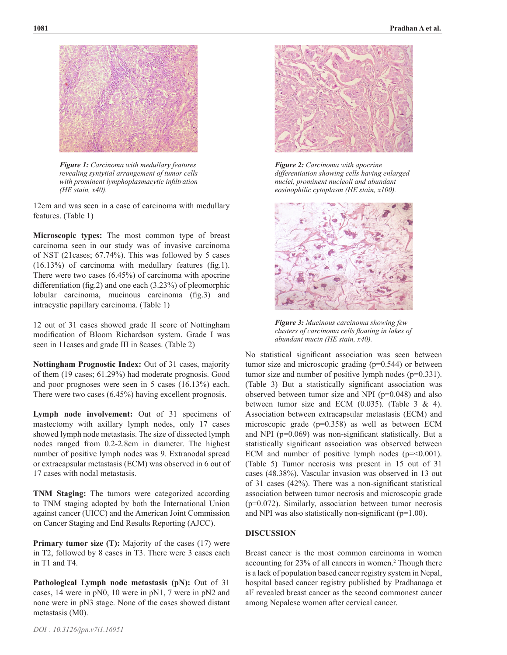

*Figure 1: Carcinoma with medullary features revealing syntytial arrangement of tumor cells with prominent lymphoplasmacytic infiltration (HE stain, x40).*

12cm and was seen in a case of carcinoma with medullary features. (Table 1)

**Microscopic types:** The most common type of breast carcinoma seen in our study was of invasive carcinoma of NST (21cases; 67.74%). This was followed by 5 cases (16.13%) of carcinoma with medullary features (fig.1). There were two cases (6.45%) of carcinoma with apocrine differentiation (fig.2) and one each (3.23%) of pleomorphic lobular carcinoma, mucinous carcinoma (fig.3) and intracystic papillary carcinoma. (Table 1)

12 out of 31 cases showed grade II score of Nottingham modification of Bloom Richardson system. Grade I was seen in 11cases and grade III in 8cases. (Table 2)

**Nottingham Prognostic Index:** Out of 31 cases, majority of them (19 cases; 61.29%) had moderate prognosis. Good and poor prognoses were seen in 5 cases (16.13%) each. There were two cases (6.45%) having excellent prognosis.

**Lymph node involvement:** Out of 31 specimens of mastectomy with axillary lymph nodes, only 17 cases showed lymph node metastasis. The size of dissected lymph nodes ranged from 0.2-2.8cm in diameter. The highest number of positive lymph nodes was 9. Extranodal spread or extracapsular metastasis (ECM) was observed in 6 out of 17 cases with nodal metastasis.

**TNM Staging:** The tumors were categorized according to TNM staging adopted by both the International Union against cancer (UICC) and the American Joint Commission on Cancer Staging and End Results Reporting (AJCC).

**Primary tumor size (T):** Majority of the cases (17) were in T2, followed by 8 cases in T3. There were 3 cases each in T1 and T4.

**Pathological Lymph node metastasis (pN):** Out of 31 cases, 14 were in pN0, 10 were in pN1, 7 were in pN2 and none were in pN3 stage. None of the cases showed distant metastasis (M0).



*Figure 2: Carcinoma with apocrine differentiation showing cells having enlarged nuclei, prominent nucleoli and abundant eosinophilic cytoplasm (HE stain, x100).*



*Figure 3: Mucinous carcinoma showing few clusters of carcinoma cells floating in lakes of abundant mucin (HE stain, x40).*

No statistical significant association was seen between tumor size and microscopic grading (p=0.544) or between tumor size and number of positive lymph nodes (p=0.331). (Table 3) But a statistically significant association was observed between tumor size and NPI (p=0.048) and also between tumor size and ECM  $(0.035)$ . (Table 3 & 4). Association between extracapsular metastasis (ECM) and microscopic grade (p=0.358) as well as between ECM and NPI (p=0.069) was non-significant statistically. But a statistically significant association was observed between ECM and number of positive lymph nodes  $(p=0.001)$ . (Table 5) Tumor necrosis was present in 15 out of 31 cases (48.38%). Vascular invasion was observed in 13 out of 31 cases (42%). There was a non-significant statistical association between tumor necrosis and microscopic grade (p=0.072). Similarly, association between tumor necrosis and NPI was also statistically non-significant (p=1.00).

## **DISCUSSION**

Breast cancer is the most common carcinoma in women accounting for 23% of all cancers in women.<sup>2</sup> Though there is a lack of population based cancer registry system in Nepal, hospital based cancer registry published by Pradhanaga et al7 revealed breast cancer as the second commonest cancer among Nepalese women after cervical cancer.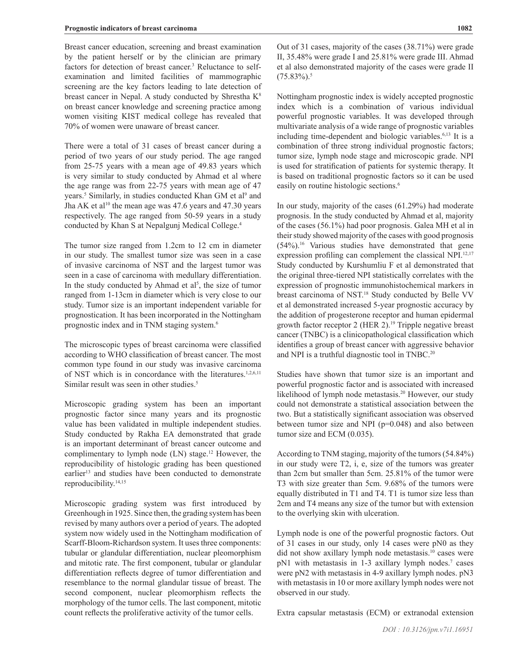Breast cancer education, screening and breast examination by the patient herself or by the clinician are primary factors for detection of breast cancer.<sup>3</sup> Reluctance to selfexamination and limited facilities of mammographic screening are the key factors leading to late detection of breast cancer in Nepal. A study conducted by Shrestha K<sup>8</sup> on breast cancer knowledge and screening practice among women visiting KIST medical college has revealed that 70% of women were unaware of breast cancer.

There were a total of 31 cases of breast cancer during a period of two years of our study period. The age ranged from 25-75 years with a mean age of 49.83 years which is very similar to study conducted by Ahmad et al where the age range was from 22-75 years with mean age of 47 years.<sup>5</sup> Similarly, in studies conducted Khan GM et al<sup>9</sup> and Jha AK et al<sup>10</sup> the mean age was  $47.6$  years and  $47.30$  years respectively. The age ranged from 50-59 years in a study conducted by Khan S at Nepalgunj Medical College.4

The tumor size ranged from 1.2cm to 12 cm in diameter in our study. The smallest tumor size was seen in a case of invasive carcinoma of NST and the largest tumor was seen in a case of carcinoma with medullary differentiation. In the study conducted by Ahmad et  $al^5$ , the size of tumor ranged from 1-13cm in diameter which is very close to our study. Tumor size is an important independent variable for prognostication. It has been incorporated in the Nottingham prognostic index and in TNM staging system.6

The microscopic types of breast carcinoma were classified according to WHO classification of breast cancer. The most common type found in our study was invasive carcinoma of NST which is in concordance with the literatures.1,2,6,11 Similar result was seen in other studies.<sup>5</sup>

Microscopic grading system has been an important prognostic factor since many years and its prognostic value has been validated in multiple independent studies. Study conducted by Rakha EA demonstrated that grade is an important determinant of breast cancer outcome and complimentary to lymph node  $(LN)$  stage.<sup>12</sup> However, the reproducibility of histologic grading has been questioned earlier<sup>13</sup> and studies have been conducted to demonstrate reproducibility.14,15

Microscopic grading system was first introduced by Greenhough in 1925. Since then, the grading system has been revised by many authors over a period of years. The adopted system now widely used in the Nottingham modification of Scarff-Bloom-Richardson system. It uses three components: tubular or glandular differentiation, nuclear pleomorphism and mitotic rate. The first component, tubular or glandular differentiation reflects degree of tumor differentiation and resemblance to the normal glandular tissue of breast. The second component, nuclear pleomorphism reflects the morphology of the tumor cells. The last component, mitotic count reflects the proliferative activity of the tumor cells.

Out of 31 cases, majority of the cases (38.71%) were grade II, 35.48% were grade I and 25.81% were grade III. Ahmad et al also demonstrated majority of the cases were grade II  $(75.83\%)$ .<sup>5</sup>

Nottingham prognostic index is widely accepted prognostic index which is a combination of various individual powerful prognostic variables. It was developed through multivariate analysis of a wide range of prognostic variables including time-dependent and biologic variables.<sup>6,13</sup> It is a combination of three strong individual prognostic factors; tumor size, lymph node stage and microscopic grade. NPI is used for stratification of patients for systemic therapy. It is based on traditional prognostic factors so it can be used easily on routine histologic sections.<sup>6</sup>

In our study, majority of the cases (61.29%) had moderate prognosis. In the study conducted by Ahmad et al, majority of the cases (56.1%) had poor prognosis. Galea MH et al in their study showed majority of the cases with good prognosis (54%).16 Various studies have demonstrated that gene expression profiling can complement the classical NPI.<sup>12,17</sup> Study conducted by Kurshumliu F et al demonstrated that the original three-tiered NPI statistically correlates with the expression of prognostic immunohistochemical markers in breast carcinoma of NST.<sup>18</sup> Study conducted by Belle VV et al demonstrated increased 5-year prognostic accuracy by the addition of progesterone receptor and human epidermal growth factor receptor 2 (HER 2).<sup>19</sup> Tripple negative breast cancer (TNBC) is a clinicopathological classification which identifies a group of breast cancer with aggressive behavior and NPI is a truthful diagnostic tool in TNBC.<sup>20</sup>

Studies have shown that tumor size is an important and powerful prognostic factor and is associated with increased likelihood of lymph node metastasis.<sup>20</sup> However, our study could not demonstrate a statistical association between the two. But a statistically significant association was observed between tumor size and NPI  $(p=0.048)$  and also between tumor size and ECM (0.035).

According to TNM staging, majority of the tumors (54.84%) in our study were T2, i, e, size of the tumors was greater than 2cm but smaller than 5cm. 25.81% of the tumor were T3 with size greater than 5cm. 9.68% of the tumors were equally distributed in T1 and T4. T1 is tumor size less than 2cm and T4 means any size of the tumor but with extension to the overlying skin with ulceration.

Lymph node is one of the powerful prognostic factors. Out of 31 cases in our study, only 14 cases were pN0 as they did not show axillary lymph node metastasis.<sup>10</sup> cases were pN1 with metastasis in 1-3 axillary lymph nodes.<sup>7</sup> cases were pN2 with metastasis in 4-9 axillary lymph nodes. pN3 with metastasis in 10 or more axillary lymph nodes were not observed in our study.

Extra capsular metastasis (ECM) or extranodal extension